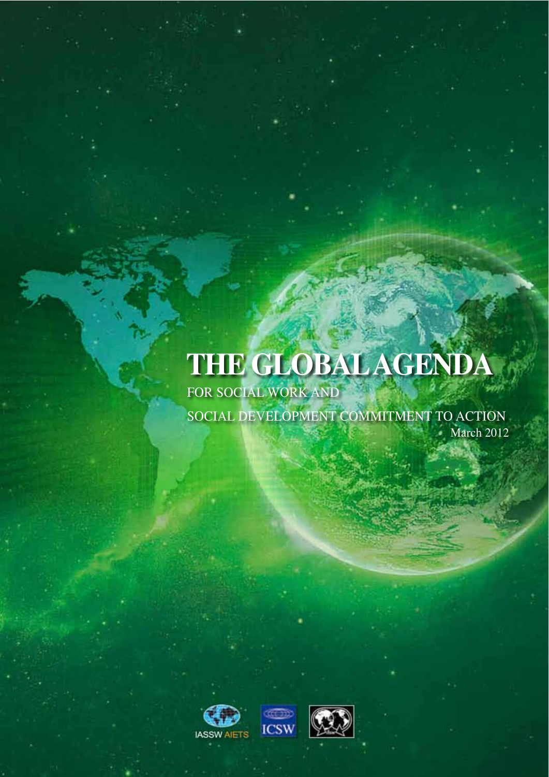# **THE GLOBAL AGENDA**

FOR SOCIAL WORK AND SOCIAL DEVELOPMENT COMMITMENT TO ACTION March 2012



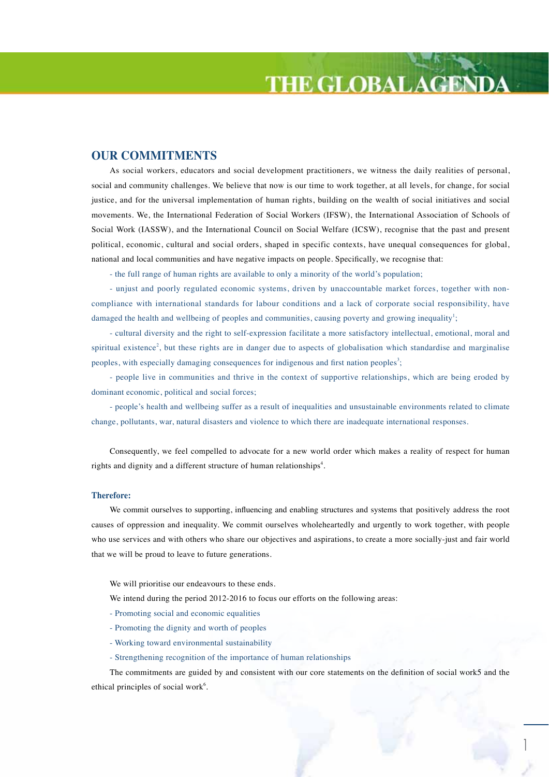**THE GLOBAL AGENI** 

## **OUR COMMITMENTS**

As social workers, educators and social development practitioners, we witness the daily realities of personal, social and community challenges. We believe that now is our time to work together, at all levels, for change, for social justice, and for the universal implementation of human rights, building on the wealth of social initiatives and social movements. We, the International Federation of Social Workers (IFSW), the International Association of Schools of Social Work (IASSW), and the International Council on Social Welfare (ICSW), recognise that the past and present political, economic, cultural and social orders, shaped in specific contexts, have unequal consequences for global, national and local communities and have negative impacts on people. Specifically, we recognise that:

- the full range of human rights are available to only a minority of the world's population;

- unjust and poorly regulated economic systems, driven by unaccountable market forces, together with noncompliance with international standards for labour conditions and a lack of corporate social responsibility, have damaged the health and wellbeing of peoples and communities, causing poverty and growing inequality<sup>1</sup>;

- cultural diversity and the right to self-expression facilitate a more satisfactory intellectual, emotional, moral and spiritual existence<sup>2</sup>, but these rights are in danger due to aspects of globalisation which standardise and marginalise peoples, with especially damaging consequences for indigenous and first nation peoples<sup>3</sup>;

- people live in communities and thrive in the context of supportive relationships, which are being eroded by dominant economic, political and social forces;

- people's health and wellbeing suffer as a result of inequalities and unsustainable environments related to climate change, pollutants, war, natural disasters and violence to which there are inadequate international responses.

Consequently, we feel compelled to advocate for a new world order which makes a reality of respect for human rights and dignity and a different structure of human relationships $^4$ .

#### **Therefore:**

We commit ourselves to supporting, influencing and enabling structures and systems that positively address the root causes of oppression and inequality. We commit ourselves wholeheartedly and urgently to work together, with people who use services and with others who share our objectives and aspirations, to create a more socially-just and fair world that we will be proud to leave to future generations.

We will prioritise our endeavours to these ends.

We intend during the period 2012-2016 to focus our efforts on the following areas:

- Promoting social and economic equalities
- Promoting the dignity and worth of peoples
- Working toward environmental sustainability
- Strengthening recognition of the importance of human relationships

The commitments are guided by and consistent with our core statements on the definition of social work5 and the ethical principles of social work<sup>6</sup>.

1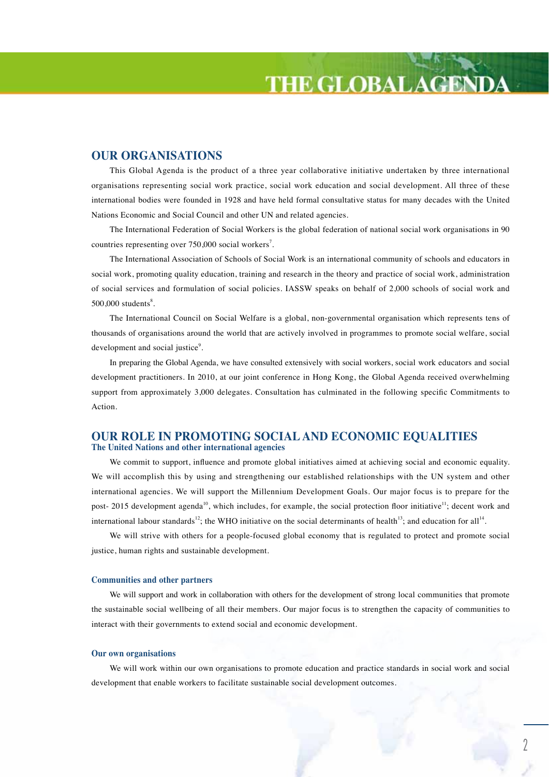## THE GLOBAL AGENDA

## **OUR ORGANISATIONS**

This Global Agenda is the product of a three year collaborative initiative undertaken by three international organisations representing social work practice, social work education and social development. All three of these international bodies were founded in 1928 and have held formal consultative status for many decades with the United Nations Economic and Social Council and other UN and related agencies.

The International Federation of Social Workers is the global federation of national social work organisations in 90 countries representing over  $750,000$  social workers<sup>7</sup>.

The International Association of Schools of Social Work is an international community of schools and educators in social work, promoting quality education, training and research in the theory and practice of social work, administration of social services and formulation of social policies. IASSW speaks on behalf of 2,000 schools of social work and  $500,000$  students<sup>8</sup>.

The International Council on Social Welfare is a global, non-governmental organisation which represents tens of thousands of organisations around the world that are actively involved in programmes to promote social welfare, social development and social justice<sup>9</sup>.

In preparing the Global Agenda, we have consulted extensively with social workers, social work educators and social development practitioners. In 2010, at our joint conference in Hong Kong, the Global Agenda received overwhelming support from approximately 3,000 delegates. Consultation has culminated in the following specific Commitments to Action.

## **OUR ROLE IN PROMOTING SOCIAL AND ECONOMIC EQUALITIES**

**The United Nations and other international agencies**

We commit to support, influence and promote global initiatives aimed at achieving social and economic equality. We will accomplish this by using and strengthening our established relationships with the UN system and other international agencies. We will support the Millennium Development Goals. Our major focus is to prepare for the post- 2015 development agenda<sup>10</sup>, which includes, for example, the social protection floor initiative<sup>11</sup>; decent work and international labour standards<sup>12</sup>; the WHO initiative on the social determinants of health<sup>13</sup>; and education for all<sup>14</sup>.

We will strive with others for a people-focused global economy that is regulated to protect and promote social justice, human rights and sustainable development.

#### **Communities and other partners**

We will support and work in collaboration with others for the development of strong local communities that promote the sustainable social wellbeing of all their members. Our major focus is to strengthen the capacity of communities to interact with their governments to extend social and economic development.

#### **Our own organisations**

We will work within our own organisations to promote education and practice standards in social work and social development that enable workers to facilitate sustainable social development outcomes.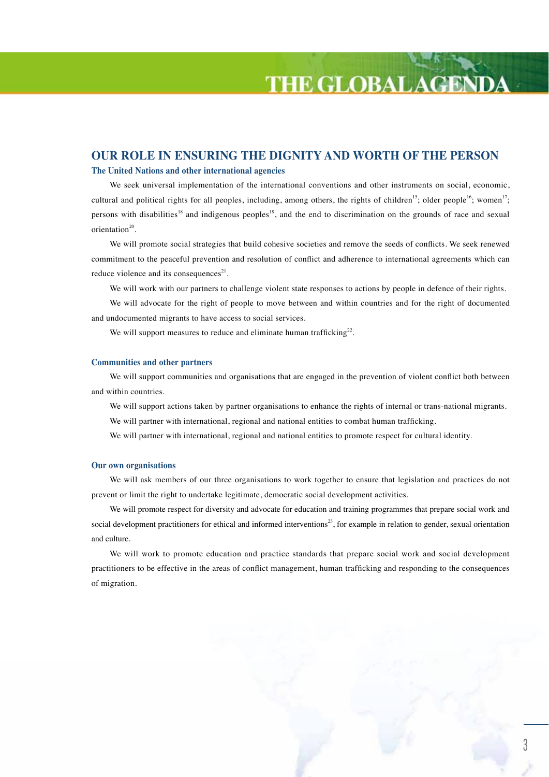## **OUR ROLE IN ENSURING THE DIGNITY AND WORTH OF THE PERSON**

#### **The United Nations and other international agencies**

We seek universal implementation of the international conventions and other instruments on social, economic, cultural and political rights for all peoples, including, among others, the rights of children<sup>15</sup>; older people<sup>16</sup>; women<sup>17</sup>; persons with disabilities<sup>18</sup> and indigenous peoples<sup>19</sup>, and the end to discrimination on the grounds of race and sexual orientation $20$ .

We will promote social strategies that build cohesive societies and remove the seeds of conflicts. We seek renewed commitment to the peaceful prevention and resolution of conflict and adherence to international agreements which can reduce violence and its consequences $21$ .

We will work with our partners to challenge violent state responses to actions by people in defence of their rights.

We will advocate for the right of people to move between and within countries and for the right of documented and undocumented migrants to have access to social services.

We will support measures to reduce and eliminate human trafficking<sup>22</sup>.

#### **Communities and other partners**

We will support communities and organisations that are engaged in the prevention of violent conflict both between and within countries.

We will support actions taken by partner organisations to enhance the rights of internal or trans-national migrants.

We will partner with international, regional and national entities to combat human trafficking.

We will partner with international, regional and national entities to promote respect for cultural identity.

#### **Our own organisations**

We will ask members of our three organisations to work together to ensure that legislation and practices do not prevent or limit the right to undertake legitimate, democratic social development activities.

We will promote respect for diversity and advocate for education and training programmes that prepare social work and social development practitioners for ethical and informed interventions $2<sup>3</sup>$ , for example in relation to gender, sexual orientation and culture.

We will work to promote education and practice standards that prepare social work and social development practitioners to be effective in the areas of conflict management, human trafficking and responding to the consequences of migration.

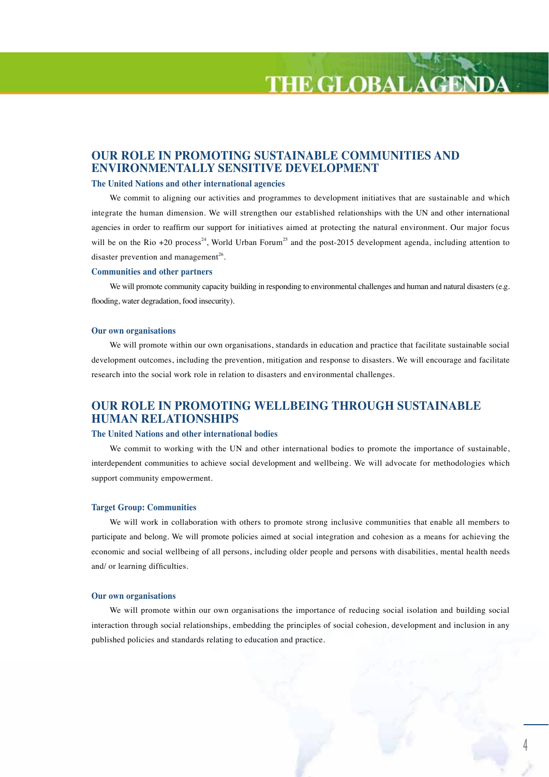## **OUR ROLE IN PROMOTING SUSTAINABLE COMMUNITIES AND ENVIRONMENTALLY SENSITIVE DEVELOPMENT**

#### **The United Nations and other international agencies**

We commit to aligning our activities and programmes to development initiatives that are sustainable and which integrate the human dimension. We will strengthen our established relationships with the UN and other international agencies in order to reaffirm our support for initiatives aimed at protecting the natural environment. Our major focus will be on the Rio +20 process<sup>24</sup>, World Urban Forum<sup>25</sup> and the post-2015 development agenda, including attention to disaster prevention and management<sup>26</sup>.

#### **Communities and other partners**

We will promote community capacity building in responding to environmental challenges and human and natural disasters (e.g. flooding, water degradation, food insecurity).

#### **Our own organisations**

We will promote within our own organisations, standards in education and practice that facilitate sustainable social development outcomes, including the prevention, mitigation and response to disasters. We will encourage and facilitate research into the social work role in relation to disasters and environmental challenges.

## **OUR ROLE IN PROMOTING WELLBEING THROUGH SUSTAINABLE HUMAN RELATIONSHIPS**

#### **The United Nations and other international bodies**

We commit to working with the UN and other international bodies to promote the importance of sustainable, interdependent communities to achieve social development and wellbeing. We will advocate for methodologies which support community empowerment.

#### **Target Group: Communities**

We will work in collaboration with others to promote strong inclusive communities that enable all members to participate and belong. We will promote policies aimed at social integration and cohesion as a means for achieving the economic and social wellbeing of all persons, including older people and persons with disabilities, mental health needs and/ or learning difficulties.

#### **Our own organisations**

We will promote within our own organisations the importance of reducing social isolation and building social interaction through social relationships, embedding the principles of social cohesion, development and inclusion in any published policies and standards relating to education and practice.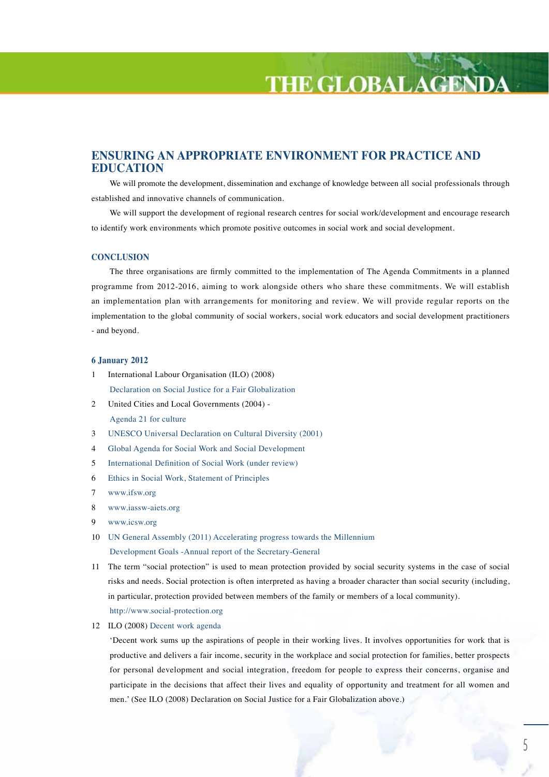# THE GLOBAL AGENDA

## **ENSURING AN APPROPRIATE ENVIRONMENT FOR PRACTICE AND EDUCATION**

We will promote the development, dissemination and exchange of knowledge between all social professionals through established and innovative channels of communication.

We will support the development of regional research centres for social work/development and encourage research to identify work environments which promote positive outcomes in social work and social development.

#### **CONCLUSION**

The three organisations are firmly committed to the implementation of The Agenda Commitments in a planned programme from 2012-2016, aiming to work alongside others who share these commitments. We will establish an implementation plan with arrangements for monitoring and review. We will provide regular reports on the implementation to the global community of social workers, social work educators and social development practitioners - and beyond.

#### **6 January 2012**

- 1 International Labour Organisation (ILO) (2008) Declaration on Social Justice for a Fair Globalization
- 2 United Cities and Local Governments (2004) Agenda 21 for culture
- 3 UNESCO Universal Declaration on Cultural Diversity (2001)
- 4 Global Agenda for Social Work and Social Development
- 5 International Definition of Social Work (under review)
- 6 Ethics in Social Work, Statement of Principles
- 7 www.ifsw.org
- 8 www.iassw-aiets.org
- 9 www.icsw.org
- 10 UN General Assembly (2011) Accelerating progress towards the Millennium Development Goals -Annual report of the Secretary-General
- 11 The term "social protection" is used to mean protection provided by social security systems in the case of social risks and needs. Social protection is often interpreted as having a broader character than social security (including, in particular, protection provided between members of the family or members of a local community). http://www.social-protection.org
- 12 ILO (2008) Decent work agenda

'Decent work sums up the aspirations of people in their working lives. It involves opportunities for work that is productive and delivers a fair income, security in the workplace and social protection for families, better prospects for personal development and social integration, freedom for people to express their concerns, organise and participate in the decisions that affect their lives and equality of opportunity and treatment for all women and men.' (See ILO (2008) Declaration on Social Justice for a Fair Globalization above.)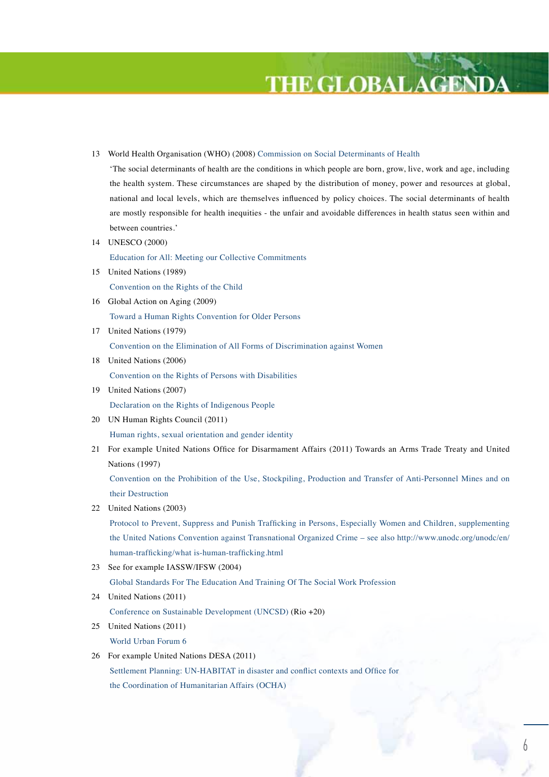13 World Health Organisation (WHO) (2008) Commission on Social Determinants of Health

'The social determinants of health are the conditions in which people are born, grow, live, work and age, including the health system. These circumstances are shaped by the distribution of money, power and resources at global, national and local levels, which are themselves influenced by policy choices. The social determinants of health are mostly responsible for health inequities - the unfair and avoidable differences in health status seen within and between countries.'

- 14 UNESCO (2000) Education for All: Meeting our Collective Commitments
- 15 United Nations (1989) Convention on the Rights of the Child
- 16 Global Action on Aging (2009) Toward a Human Rights Convention for Older Persons
- 17 United Nations (1979)

Convention on the Elimination of All Forms of Discrimination against Women

- 18 United Nations (2006) Convention on the Rights of Persons with Disabilities
- 19 United Nations (2007) Declaration on the Rights of Indigenous People
- 20 UN Human Rights Council (2011) Human rights, sexual orientation and gender identity
- 21 For example United Nations Office for Disarmament Affairs (2011) Towards an Arms Trade Treaty and United Nations (1997)

Convention on the Prohibition of the Use, Stockpiling, Production and Transfer of Anti-Personnel Mines and on their Destruction

22 United Nations (2003)

Protocol to Prevent, Suppress and Punish Trafficking in Persons, Especially Women and Children, supplementing the United Nations Convention against Transnational Organized Crime - see also http://www.unodc.org/unodc/en/ human-trafficking/what is-human-trafficking.html

23 See for example IASSW/IFSW (2004)

Global Standards For The Education And Training Of The Social Work Profession

- 24 United Nations (2011) Conference on Sustainable Development (UNCSD) (Rio +20)
- 25 United Nations (2011) World Urban Forum 6
- 26 For example United Nations DESA (2011) Settlement Planning: UN-HABITAT in disaster and conflict contexts and Office for the Coordination of Humanitarian Affairs (OCHA)